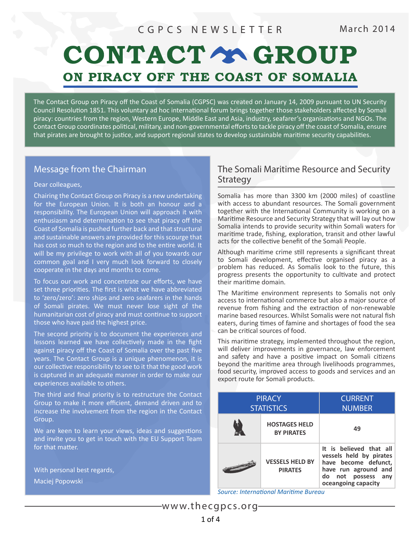# CONTACT Y GROUP ON PIRACY OFF THE COAST OF SOMALIA

The Contact Group on Piracy off the Coast of Somalia (CGPSC) was created on January 14, 2009 pursuant to UN Security Council Resolution 1851. This voluntary ad hoc international forum brings together those stakeholders affected by Somali piracy: countries from the region, Western Europe, Middle East and Asia, industry, seafarer's organisations and NGOs. The Contact Group coordinates political, military, and non-governmental efforts to tackle piracy off the coast of Somalia, ensure that pirates are brought to justice, and support regional states to develop sustainable maritime security capabilities.

### Message from the Chairman

#### Dear colleagues,

Chairing the Contact Group on Piracy is a new undertaking for the European Union. It is both an honour and a responsibility. The European Union will approach it with enthusiasm and determination to see that piracy off the Coast of Somalia is pushed further back and that structural and sustainable answers are provided for this scourge that has cost so much to the region and to the entire world. It will be my privilege to work with all of you towards our common goal and I very much look forward to closely cooperate in the days and months to come.

To focus our work and concentrate our efforts, we have set three priorities. The first is what we have abbreviated to 'zero/zero': zero ships and zero seafarers in the hands of Somali pirates. We must never lose sight of the humanitarian cost of piracy and must continue to support those who have paid the highest price.

The second priority is to document the experiences and lessons learned we have collectively made in the fight against piracy off the Coast of Somalia over the past five years. The Contact Group is a unique phenomenon, it is our collective responsibility to see to it that the good work is captured in an adequate manner in order to make our experiences available to others.

The third and final priority is to restructure the Contact Group to make it more efficient, demand driven and to increase the involvement from the region in the Contact Group.

We are keen to learn your views, ideas and suggestions and invite you to get in touch with the EU Support Team for that matter.

With personal best regards, Maciej Popowski

### The Somali Maritime Resource and Security **Strategy**

Somalia has more than 3300 km (2000 miles) of coastline with access to abundant resources. The Somali government together with the International Community is working on a Maritime Resource and Security Strategy that will lay out how Somalia intends to provide security within Somali waters for maritime trade, fishing, exploration, transit and other lawful acts for the collective benefit of the Somali People.

Although maritime crime still represents a significant threat to Somali development, effective organised piracy as a problem has reduced. As Somalis look to the future, this progress presents the opportunity to cultivate and protect their maritime domain.

The Maritime environment represents to Somalis not only access to international commerce but also a major source of revenue from fishing and the extraction of non-renewable marine based resources. Whilst Somalis were not natural fish eaters, during times of famine and shortages of food the sea can be critical sources of food.

This maritime strategy, implemented throughout the region, will deliver improvements in governance, law enforcement and safety and have a positive impact on Somali citizens beyond the maritime area through livelihoods programmes, food security, improved access to goods and services and an export route for Somali products.

| <b>PIRACY</b><br><b>STATISTICS</b> |                                           | <b>CURRENT</b><br><b>NUMBER</b>                                                                                                                    |
|------------------------------------|-------------------------------------------|----------------------------------------------------------------------------------------------------------------------------------------------------|
|                                    | <b>HOSTAGES HELD</b><br><b>BY PIRATES</b> | 49                                                                                                                                                 |
|                                    | <b>VESSELS HELD BY</b><br><b>PIRATES</b>  | It is believed that all<br>vessels held by pirates<br>have become defunct,<br>have run aground and<br>do not possess<br>any<br>oceangoing capacity |

*Source: International Maritime Bureau*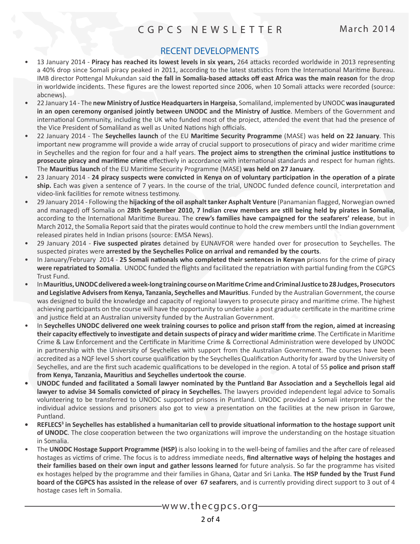# RECENT DEVELOPMENTS

- 13 January 2014 **Piracy has reached its lowest levels in six years,** 264 attacks recorded worldwide in 2013 representing a 40% drop since Somali piracy peaked in 2011, according to the latest statistics from the International Maritime Bureau. IMB director Pottengal Mukundan said **the fall in Somalia-based attacks off east Africa was the main reason** for the drop in worldwide incidents. These figures are the lowest reported since 2006, when 10 Somali attacks were recorded (source: abcnews).
- 22 January 14 The **new Ministry of Justice Headquarters in Hargeisa**, Somaliland, implemented by UNODC **was inaugurated in an open ceremony organised jointly between UNODC and the Ministry of Justice**. Members of the Government and international Community, including the UK who funded most of the project, attended the event that had the presence of the Vice President of Somaliland as well as United Nations high officials.
- 22 January 2014 The **Seychelles launch** of the EU **Maritime Security Programme** (MASE) was **held on 22 January**. This important new programme will provide a wide array of crucial support to prosecutions of piracy and wider maritime crime in Seychelles and the region for four and a half years. **The project aims to strengthen the criminal justice institutions to prosecute piracy and maritime crime** effectively in accordance with international standards and respect for human rights. The **Mauritius launch** of the EU Maritime Security Programme (MASE) **was held on 27 January**.
- 23 January 2014 **24 piracy suspects were convicted in Kenya on of voluntary participation in the operation of a pirate ship.** Each was given a sentence of 7 years. In the course of the trial, UNODC funded defence council, interpretation and video-link facilities for remote witness testimony.
- 29 January 2014 Following the **hijacking of the oil asphalt tanker Asphalt Venture** (Panamanian flagged, Norwegian owned and managed) off Somalia on **28th September 2010, 7 Indian crew members are still being held by pirates in Somalia**, according to the International Maritime Bureau. The **crew's families have campaigned for the seafarers' release**, but in March 2012, the Somalia Report said that the pirates would continue to hold the crew members until the Indian government released pirates held in Indian prisons (source: EMSA News).
- 29 January 2014 **Five suspected pirates** detained by EUNAVFOR were handed over for prosecution to Seychelles. The suspected pirates were **arrested by the Seychelles Police on arrival and remanded by the courts**.
- In January/February 2014 **25 Somali nationals who completed their sentences in Kenyan** prisons for the crime of piracy **were repatriated to Somalia**. UNODC funded the flights and facilitated the repatriation with partial funding from the CGPCS Trust Fund.
- In **Mauritius, UNODC delivered a week-long training course on Maritime Crime and Criminal Justice to 28 Judges, Prosecutors and Legislative Advisers from Kenya, Tanzania, Seychelles and Mauritius**. Funded by the Australian Government, the course was designed to build the knowledge and capacity of regional lawyers to prosecute piracy and maritime crime. The highest achieving participants on the course will have the opportunity to undertake a post graduate certificate in the maritime crime and justice field at an Australian university funded by the Australian Government.
- In **Seychelles UNODC delivered one week training courses to police and prison staff from the region, aimed at increasing their capacity effectively to investigate and detain suspects of piracy and wider maritime crime**. The Certificate in Maritime Crime & Law Enforcement and the Certificate in Maritime Crime & Correctional Administration were developed by UNODC in partnership with the University of Seychelles with support from the Australian Government. The courses have been accredited as a NQF level 5 short course qualification by the Seychelles Qualification Authority for award by the University of Seychelles, and are the first such academic qualifications to be developed in the region. A total of 55 **police and prison staff from Kenya, Tanzania, Mauritius and Seychelles undertook the course**.
- **• UNODC funded and facilitated a Somali lawyer nominated by the Puntland Bar Association and a Seychellois legal aid lawyer to advise 34 Somalis convicted of piracy in Seychelles.** The lawyers provided independent legal advice to Somalis volunteering to be transferred to UNODC supported prisons in Puntland. UNODC provided a Somali interpreter for the individual advice sessions and prisoners also got to view a presentation on the facilities at the new prison in Garowe, Puntland.
- **•** REFLECS<sup>3</sup> in Seychelles has established a humanitarian cell to provide situational information to the hostage support unit **of UNODC**. The close cooperation between the two organizations will improve the understanding on the hostage situation in Somalia.
- The **UNODC Hostage Support Programme (HSP)** is also looking in to the well-being of families and the after care of released hostages as victims of crime. The focus is to address immediate needs, **find alternative ways of helping the hostages and their families based on their own input and gather lessons learned** for future analysis. So far the programme has visited ex hostages helped by the programme and their families in Ghana, Qatar and Sri Lanka. **The HSP funded by the Trust Fund board of the CGPCS has assisted in the release of over 67 seafarers**, and is currently providing direct support to 3 out of 4 hostage cases left in Somalia.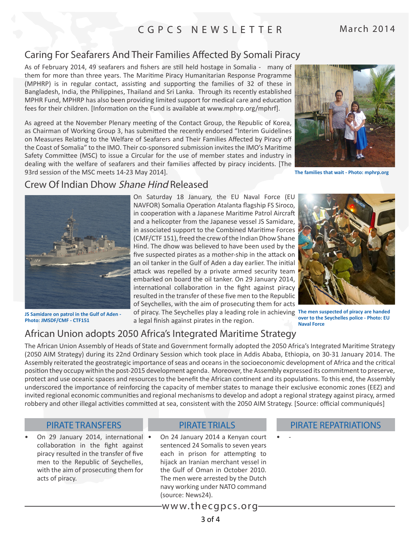# Caring For Seafarers And Their Families Affected By Somali Piracy

As of February 2014, 49 seafarers and fishers are still held hostage in Somalia - many of them for more than three years. The Maritime Piracy Humanitarian Response Programme (MPHRP) is in regular contact, assisting and supporting the families of 32 of these in Bangladesh, India, the Philippines, Thailand and Sri Lanka. Through its recently established MPHR Fund, MPHRP has also been providing limited support for medical care and education fees for their children. [Information on the Fund is available at [www.mphrp.org/mphrf\]](http://www.mphrp.org/mphrf/).

As agreed at the November Plenary meeting of the Contact Group, the Republic of Korea, as Chairman of Working Group 3, has submitted the recently endorsed "Interim Guidelines on Measures Relating to the Welfare of Seafarers and Their Families Affected by Piracy off the Coast of Somalia" to the IMO. Their co-sponsored submission invites the IMO's Maritime Safety Committee (MSC) to issue a Circular for the use of member states and industry in dealing with the welfare of seafarers and their families affected by piracy incidents. [The 93rd session of the MSC meets 14-23 May 2014].



**The families that wait - Photo: mphrp.org**

# Crew Of Indian Dhow Shane Hind Released



**JS Samidare on patrol in the Gulf of Aden - Photo: JMSDF/CMF - CTF151**

On Saturday 18 January, the [EU Naval Force \(EU](http://eunavfor.eu/suspect-pirates-apprehended-by-eu-naval-force-flagship-transferred-to-the-seychelles/) [NAVFOR\) Somalia Operation Atalanta](http://eunavfor.eu/suspect-pirates-apprehended-by-eu-naval-force-flagship-transferred-to-the-seychelles/) flagship FS Siroco, in cooperation with a Japanese Maritime Patrol Aircraft and a helicopter from the Japanese vessel JS Samidare, in associated support to the [Combined Maritime Forces](http://combinedmaritimeforces.com/2014/01/21/pirates-apprehended-after-coordinated-response-by-counter-piracy-missions/%23more-3696) [\(CMF/CTF 151\),](http://combinedmaritimeforces.com/2014/01/21/pirates-apprehended-after-coordinated-response-by-counter-piracy-missions/%23more-3696) freed the crew of the Indian Dhow Shane Hind. The dhow was believed to have been used by the five suspected pirates as a mother-ship in the attack on an oil tanker in the Gulf of Aden a day earlier. The initial attack was repelled by a private armed security team embarked on board the oil tanker. On 29 January 2014, international collaboration in the fight against piracy resulted in the transfer of these five men to the Republic of Seychelles, with the aim of prosecuting them for acts

of piracy. The Seychelles play a leading role in achieving **The men suspected of piracy are handed**  a legal finish against pirates in the region.

**over to the Seychelles police - Photo: EU Naval Force** 

# African Union adopts 2050 Africa's Integrated Maritime Strategy

The African Union Assembly of Heads of State and Government formally adopted the 2050 Africa's Integrated Maritime Strategy (2050 AIM Strategy) during its 22nd Ordinary Session which took place in Addis Ababa, Ethiopia, on 30-31 January 2014. The Assembly reiterated the geostrategic importance of seas and oceans in the socioeconomic development of Africa and the critical position they occupy within the post-2015 development agenda. Moreover, the Assembly expressed its commitment to preserve, protect and use oceanic spaces and resources to the benefit the African continent and its populations. To this end, the Assembly underscored the importance of reinforcing the capacity of member states to manage their exclusive economic zones (EEZ) and invited regional economic communities and regional mechanisms to develop and adopt a regional strategy against piracy, armed robbery and other illegal activities committed at sea, consistent with the 2050 AIM Strategy. [Source: official communiqués]

On 29 January 2014, international • collaboration in the fight against piracy resulted in the transfer of five men to the Republic of Seychelles, with the aim of prosecuting them for acts of piracy.

#### PIRATE TRIALS

On 24 January 2014 a Kenyan court sentenced 24 Somalis to seven years each in prison for attempting to hijack an Iranian merchant vessel in the Gulf of Oman in October 2010. The men were arrested by the Dutch navy working under NATO command (source: News24).

#### PIRATE TRANSFERS PIRATE TRIALS PIRATE PIRATE REPATRIATIONS

www.thecgpcs.org